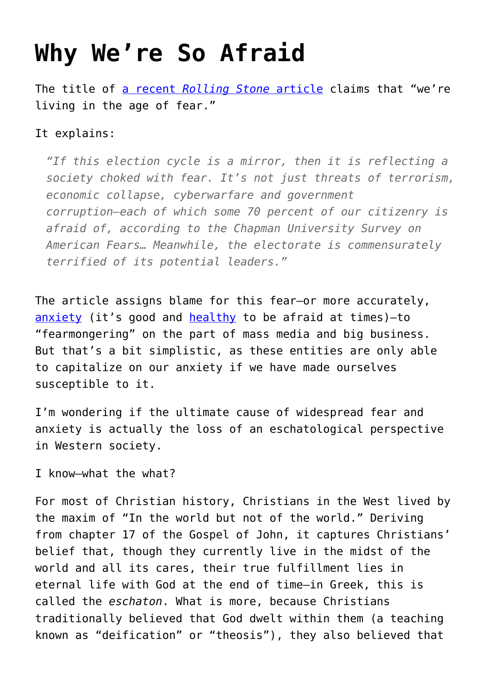## **[Why We're So Afraid](https://intellectualtakeout.org/2016/10/why-were-so-afraid/)**

The title of [a recent](http://www.rollingstone.com/politics/features/why-were-living-in-the-age-of-fear-w443554) *[Rolling Stone](http://www.rollingstone.com/politics/features/why-were-living-in-the-age-of-fear-w443554)* [article](http://www.rollingstone.com/politics/features/why-were-living-in-the-age-of-fear-w443554) claims that "we're living in the age of fear."

## It explains:

*"If this election cycle is a mirror, then it is reflecting a society choked with fear. It's not just threats of terrorism, economic collapse, cyberwarfare and government corruption—each of which some 70 percent of our citizenry is afraid of, according to the Chapman University Survey on American Fears… Meanwhile, the electorate is commensurately terrified of its potential leaders."*

The article assigns blame for this fear—or more accurately, [anxiety](https://www.intellectualtakeout.org/blog/6th-century-cure-anxiety) (it's good and [healthy](https://www.intellectualtakeout.org/blog/primer-courage) to be afraid at times)—to "fearmongering" on the part of mass media and big business. But that's a bit simplistic, as these entities are only able to capitalize on our anxiety if we have made ourselves susceptible to it.

I'm wondering if the ultimate cause of widespread fear and anxiety is actually the loss of an eschatological perspective in Western society.

I know—what the what?

For most of Christian history, Christians in the West lived by the maxim of "In the world but not of the world." Deriving from chapter 17 of the Gospel of John, it captures Christians' belief that, though they currently live in the midst of the world and all its cares, their true fulfillment lies in eternal life with God at the end of time—in Greek, this is called the *eschaton*. What is more, because Christians traditionally believed that God dwelt within them (a teaching known as "deification" or "theosis"), they also believed that